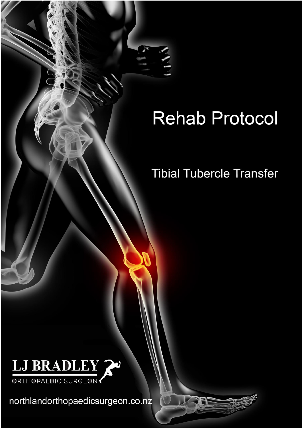# **Rehab Protocol**

END

# **Tibial Tubercle Transfer**



northlandorthopaedicsurgeon.co.nz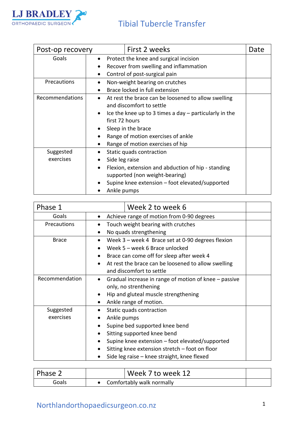

### Tibial Tubercle Transfer

| Post-op recovery       | First 2 weeks                                                                                                                                                                                                                                                                                                     | Date |
|------------------------|-------------------------------------------------------------------------------------------------------------------------------------------------------------------------------------------------------------------------------------------------------------------------------------------------------------------|------|
| Goals                  | Protect the knee and surgical incision<br>$\bullet$<br>Recover from swelling and inflammation<br>$\bullet$<br>Control of post-surgical pain                                                                                                                                                                       |      |
| Precautions            | Non-weight bearing on crutches<br>Brace locked in full extension                                                                                                                                                                                                                                                  |      |
| Recommendations        | At rest the brace can be loosened to allow swelling<br>and discomfort to settle<br>Ice the knee up to 3 times a day $-$ particularly in the<br>$\bullet$<br>first 72 hours<br>Sleep in the brace<br>$\bullet$<br>Range of motion exercises of ankle<br>$\bullet$<br>Range of motion exercises of hip<br>$\bullet$ |      |
| Suggested<br>exercises | Static quads contraction<br>Side leg raise<br>Flexion, extension and abduction of hip - standing<br>$\bullet$<br>supported (non weight-bearing)<br>Supine knee extension - foot elevated/supported<br>Ankle pumps                                                                                                 |      |

| Phase 1        | Week 2 to week 6                                                   |  |  |  |
|----------------|--------------------------------------------------------------------|--|--|--|
| Goals          | Achieve range of motion from 0-90 degrees                          |  |  |  |
| Precautions    | Touch weight bearing with crutches                                 |  |  |  |
|                | No quads strengthening                                             |  |  |  |
| <b>Brace</b>   | Week 3 - week 4 Brace set at 0-90 degrees flexion                  |  |  |  |
|                | Week 5 - week 6 Brace unlocked                                     |  |  |  |
|                | Brace can come off for sleep after week 4                          |  |  |  |
|                | At rest the brace can be loosened to allow swelling                |  |  |  |
|                | and discomfort to settle                                           |  |  |  |
| Recommendation | Gradual increase in range of motion of knee - passive<br>$\bullet$ |  |  |  |
|                | only, no strenthening                                              |  |  |  |
|                | Hip and gluteal muscle strengthening                               |  |  |  |
|                | Ankle range of motion.                                             |  |  |  |
| Suggested      | Static quads contraction                                           |  |  |  |
| exercises      | Ankle pumps                                                        |  |  |  |
|                | Supine bed supported knee bend<br>$\bullet$                        |  |  |  |
|                | Sitting supported knee bend                                        |  |  |  |
|                | Supine knee extension – foot elevated/supported                    |  |  |  |
|                | Sitting knee extension stretch – foot on floor                     |  |  |  |
|                | Side leg raise - knee straight, knee flexed                        |  |  |  |

| Phase 2 | Week 7 to week 12         |
|---------|---------------------------|
| Goals   | Comfortably walk normally |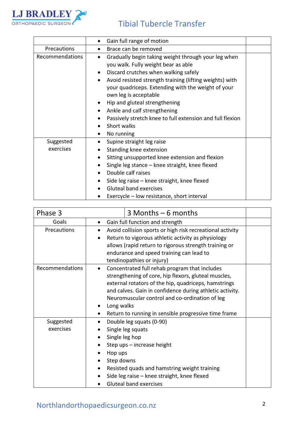

## Tibial Tubercle Transfer

|                        | Gain full range of motion<br>$\bullet$                                                                                                                                                                                                                                                                                                                                                                                                                                                                                                          |  |
|------------------------|-------------------------------------------------------------------------------------------------------------------------------------------------------------------------------------------------------------------------------------------------------------------------------------------------------------------------------------------------------------------------------------------------------------------------------------------------------------------------------------------------------------------------------------------------|--|
| Precautions            | Brace can be removed<br>$\bullet$                                                                                                                                                                                                                                                                                                                                                                                                                                                                                                               |  |
| Recommendations        | Gradually begin taking weight through your leg when<br>$\bullet$<br>you walk. Fully weight bear as able<br>Discard crutches when walking safely<br>$\bullet$<br>Avoid resisted strength training (lifting weights) with<br>$\bullet$<br>your quadriceps. Extending with the weight of your<br>own leg is acceptable<br>Hip and gluteal strengthening<br>$\bullet$<br>Ankle and calf strengthening<br>$\bullet$<br>Passively stretch knee to full extension and full flexion<br>$\bullet$<br>Short walks<br>$\bullet$<br>No running<br>$\bullet$ |  |
| Suggested<br>exercises | Supine straight leg raise<br>$\bullet$<br>Standing knee extension<br>$\bullet$<br>Sitting unsupported knee extension and flexion<br>$\bullet$<br>Single leg stance - knee straight, knee flexed<br>$\bullet$<br>Double calf raises<br>$\bullet$<br>Side leg raise – knee straight, knee flexed<br>$\bullet$<br><b>Gluteal band exercises</b><br>$\bullet$<br>Exercycle – low resistance, short interval                                                                                                                                         |  |

| Phase 3                | $3$ Months $-6$ months                                                                                                                                                                                                                                                                                                                                         |  |  |  |
|------------------------|----------------------------------------------------------------------------------------------------------------------------------------------------------------------------------------------------------------------------------------------------------------------------------------------------------------------------------------------------------------|--|--|--|
| Goals                  | Gain full function and strength<br>$\bullet$                                                                                                                                                                                                                                                                                                                   |  |  |  |
| Precautions            | Avoid collision sports or high risk recreational activity<br>Return to vigorous athletic activity as physiology<br>allows (rapid return to rigorous strength training or<br>endurance and speed training can lead to<br>tendinopathies or injury)                                                                                                              |  |  |  |
| Recommendations        | Concentrated full rehab program that includes<br>$\bullet$<br>strengthening of core, hip flexors, gluteal muscles,<br>external rotators of the hip, quadriceps, hamstrings<br>and calves. Gain in confidence during athletic activity.<br>Neuromuscular control and co-ordination of leg<br>Long walks<br>Return to running in sensible progressive time frame |  |  |  |
| Suggested<br>exercises | Double leg squats (0-90)<br>Single leg squats<br>Single leg hop<br>Step ups - increase height<br>Hop ups<br>Step downs<br>Resisted quads and hamstring weight training<br>Side leg raise - knee straight, knee flexed<br><b>Gluteal band exercises</b>                                                                                                         |  |  |  |